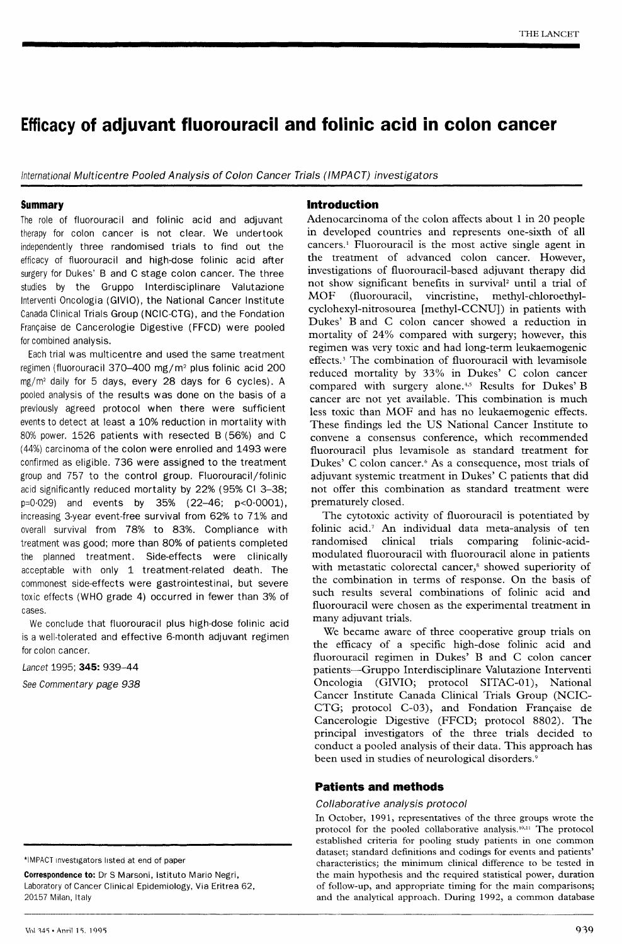# Efficacy of adjuvant fluorouracil and folinic acid in colon cancer

International Multicentre Pooled Analysis of Colon Cancer Trials (IMPACT) investigators

## Summary

The role of fluorouracil and folinic acid and adjuvant therapy for colon cancer is not clear. We undertook independently three randomised trials to find out the efficacy of fluorouracil and high-dose folinic acid after surgery for Dukes' B and C stage colon cancer. The three studies by the Gruppo Interdisciplinare Valutazione Interventi Oncologia (GIVIO), the National Cancer Institute Canada Clinical Trials Group (NCIC-CTG), and the Fondation Francaise de Cancerologie Digestive (FFCD) were pooled for combined analysis.

Each trial was multicentre and used the same treatment regimen (fluorouracil 370-400 mg/m2 plus folinic acid 200 mg/m2 daily for 5 days, every 28 days for 6 cycles). A pooled analysis of the results was done on the basis of a previously agreed protocol when there were sufficient events to detect at least a 10% reduction in mortality with 80% power. 1526 patients with resected B (56%) and C (44%) carcinoma of the colon were enrolled and 1493 were confirmed as eligible. 736 were assigned to the treatment group and 757 to the control group. Fluorouracil/folinic acid significantly reduced mortality by 22% (95% Cl 3-38; p=0&middot;029) and events by 35% (22-46; p<0&middot;0001), increasing 3-year event-free survival from 62% to 71% and overall survival from 78% to 83%. Compliance with treatment was good; more than 80% of patients completed the planned treatment. Side-effects were clinically acceptable with only 1 treatment-related death. The commonest side-effects were gastrointestinal, but severe toxic effects (WHO grade 4) occurred in fewer than 3% of cases.

We conclude that fluorouracil plus high-dose folinic acid is a well-tolerated and effective 6-month adjuvant regimen for colon cancer.

Lancet 1995; 345: 939-44

See Commentary page 938

\*IMPACT investigators listed at end of paper

Correspondence to: Dr S Marsoni, Istituto Mario Negri, Laboratory of Cancer Clinical Epidemiology, Via Eritrea 62, 20157 Milan, Italy

# Introduction

Adenocarcinoma of the colon affects about 1 in 20 people in developed countries and represents one-sixth of all cancers.' Fluorouracil is the most active single agent in the treatment of advanced colon cancer. However, investigations of fluorouracil-based adjuvant therapy did not show significant benefits in survival<sup>2</sup> until a trial of MOF (fluorouracil, vincristine, methyl-chloroethylcyclohexyl-nitrosourea [methyl-CCNU]) in patients with Dukes' B and C colon cancer showed a reduction in mortality of 24% compared with surgery; however, this regimen was very toxic and had long-term leukaemogenic effects.3 The combination of fluorouracil with levamisole reduced mortality by 33% in Dukes' C colon cancer compared with surgery alone.<sup>4,5</sup> Results for Dukes' B cancer are not yet available. This combination is much less toxic than MOF and has no leukaemogenic effects. These findings led the US National Cancer Institute to convene a consensus conference, which recommended fluorouracil plus levamisole as standard treatment for Dukes' C colon cancer.<sup>6</sup> As a consequence, most trials of adjuvant systemic treatment in Dukes' C patients that did not offer this combination as standard treatment were prematurely closed.

The cytotoxic activity of fluorouracil is potentiated by folinic acid.7 An individual data meta-analysis of ten randomised clinical trials comparing folinic-acidmodulated fluorouracil with fluorouracil alone in patients with metastatic colorectal cancer,<sup>8</sup> showed superiority of the combination in terms of response. On the basis of such results several combinations of folinic acid and fluorouracil were chosen as the experimental treatment in many adjuvant trials.

We became aware of three cooperative group trials on the efficacy of a specific high-dose folinic acid and fluorouracil regimen in Dukes' B and C colon cancer patients-Gruppo Interdisciplinare Valutazione Interventi Oncologia (GIVIO; protocol SITAC-01), National Cancer Institute Canada Clinical Trials Group (NCIC-CTG; protocol C-03), and Fondation Française de Cancerologie Digestive (FFCD; protocol 8802). The principal investigators of the three trials decided to conduct a pooled analysis of their data. This approach has been used in studies of neurological disorders.<sup>9</sup>

## Patients and methods

## Collaborative analysis protocol

In October, 1991, representatives of the three groups wrote the protocol for the pooled collaborative analysis.<sup>10,11</sup> The protocol established criteria for pooling study patients in one common dataset; standard definitions and codings for events and patients' characteristics; the minimum clinical difference to be tested in the main hypothesis and the required statistical power, duration of follow-up, and appropriate timing for the main comparisons; and the analytical approach. During 1992, a common database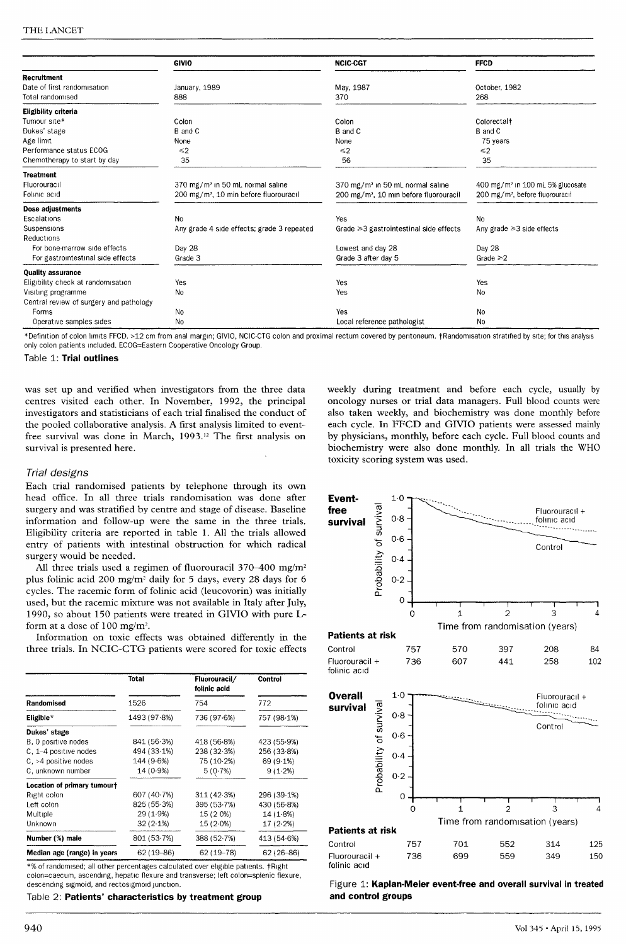|                                         | <b>GIVIO</b>                                       | <b>NCIC-CGT</b>                                    | <b>FFCD</b>                                  |
|-----------------------------------------|----------------------------------------------------|----------------------------------------------------|----------------------------------------------|
| <b>Recruitment</b>                      |                                                    |                                                    |                                              |
| Date of first randomisation             | January, 1989                                      | May, 1987                                          | October, 1982                                |
| Total randomised                        | 888                                                | 370                                                | 268                                          |
| Eligibility criteria                    |                                                    |                                                    |                                              |
| Tumour site*                            | Colon                                              | Colon                                              | Colorectal <sup>+</sup>                      |
| Dukes' stage                            | B and C                                            | <b>B</b> and C                                     | B and C                                      |
| Age limit                               | None                                               | None                                               | 75 years                                     |
| Performance status ECOG                 | $\leq 2$                                           | $\leq 2$                                           | $\leq 2$                                     |
| Chemotherapy to start by day            | 35                                                 | 56                                                 | 35                                           |
| <b>Treatment</b>                        |                                                    |                                                    |                                              |
| Fluorouracil                            | 370 mg/m <sup>2</sup> in 50 mL normal saline       | 370 mg/m <sup>2</sup> in 50 mL normal saline       | 400 mg/m <sup>2</sup> in 100 mL 5% glucosate |
| Folinic acid                            | 200 mg/m <sup>2</sup> , 10 min before fluorouracil | 200 mg/m <sup>2</sup> , 10 min before fluorouracil | 200 mg/m <sup>2</sup> , before fluorouracil  |
| Dose adjustments                        |                                                    |                                                    |                                              |
| Escalations                             | No                                                 | Yes                                                | N <sub>o</sub>                               |
| Suspensions                             | Any grade 4 side effects; grade 3 repeated         | Grade $\geq 3$ gastrointestinal side effects       | Any grade $\geq 3$ side effects              |
| Reductions                              |                                                    |                                                    |                                              |
| For bone-marrow side effects            | Day 28                                             | Lowest and day 28                                  | Day 28                                       |
| For gastrointestinal side effects       | Grade 3                                            | Grade 3 after day 5                                | Grade $\geq 2$                               |
| <b>Quality assurance</b>                |                                                    |                                                    |                                              |
| Eligibility check at randomisation      | Yes                                                | Yes                                                | Yes                                          |
| Visiting programme                      | <b>No</b>                                          | Yes                                                | No                                           |
| Central review of surgery and pathology |                                                    |                                                    |                                              |
| Forms                                   | No                                                 | Yes                                                | No                                           |
| Operative samples sides                 | No                                                 | Local reference pathologist                        | No                                           |

\*Definition of colon limits FFCD. >12 cm from anal margin; GIVIO, NCIC-CTG colon and proximal rectum covered by pentoneum. tRandomlsatlon stratified by srte; for this analysis only colon patients included. ECOG=Eastern Cooperative Oncology Group.

#### Table 1: Trial outlines

was set up and verified when investigators from the three data centres visited each other. In November, 1992, the principal investigators and statisticians of each trial finalised the conduct of the pooled collaborative analysis. A first analysis limited to eventfree survival was done in March, 1993.<sup>12</sup> The first analysis on survival is presented here.

#### Trial designs

Each trial randomised patients by telephone through its own head office. In all three trials randomisation was done after surgery and was stratified by centre and stage of disease. Baseline information and follow-up were the same in the three trials. Eligibility criteria are reported in table 1. All the trials allowed entry of patients with intestinal obstruction for which radical surgery would be needed.

All three trials used a regimen of fluorouracil 370-400 mg/m2 plus folinic acid 200 mg/m<sup>2</sup> daily for 5 days, every 28 days for 6 cycles. The racemic form of folinic acid (leucovorin) was initially used, but the racemic mixture was not available in Italy after July, 1990, so about 150 patients were treated in GIVIO with pure Lform at a dose of 100 mg/m2.

Information on toxic effects was obtained differently in the three trials. In NCIC-CTG patients were scored for toxic effects

|                             | Total         | Fluorouracil/<br>folinic acid | <b>Control</b> |  |
|-----------------------------|---------------|-------------------------------|----------------|--|
| Randomised                  | 1526          | 754                           | 772            |  |
| Eligible $*$                | 1493 (97.8%)  | 736 (97.6%)                   | 757 (98.1%)    |  |
| Dukes' stage                |               |                               |                |  |
| B, 0 positive nodes         | 841 (56.3%)   | 418 (56.8%)                   | 423 (55-9%)    |  |
| $C, 1-4$ positive nodes     | 494 (33.1%)   | 238 (32.3%)                   | 256 (33-8%)    |  |
| $C1 > 4$ positive nodes     | 144 (9.6%)    | 75 (10.2%)                    | 69 (9.1%)      |  |
| C, unknown number           | $14(0.9\%)$   | 5(0.7%)                       | 9(1.2%)        |  |
| Location of primary tumourt |               |                               |                |  |
| Right colon                 | 607 (40.7%)   | 311 (42.3%)                   | 296 (39-1%)    |  |
| Left colon                  | 825 (55-3%)   | 395 (53.7%)                   | 430 (56-8%)    |  |
| Multiple                    | 29 (1.9%)     | 15 (2 0%)                     | 14(1.8%)       |  |
| Unknown                     | $32(2.1\%)$   | $15(2.0\%)$                   | $17(2.2\%)$    |  |
| Number (%) male             | 801 (53.7%)   | 388 (52.7%)                   | 413 (54.6%)    |  |
| Median age (range) in years | $62(19 - 86)$ | $62(19 - 78)$                 | $62(26-86)$    |  |

\*% of randomised; all other percentages calculated over eligible patients. tRlght colon=caecum, ascending, hepatic flexure and transverse; left colon=splenic flexure, descending sigmoid, and rectosigmoid junction.

#### Table 2: Patients' characteristics by treatment group

weekly during treatment and before each cycle, usually by oncology nurses or trial data managers. Full blood counts were also taken weekly, and biochemistry was done monthly before each cycle. In FFCD and GIVIO patients were assessed mainly by physicians, monthly, before each cycle. Full blood counts and biochemistry were also done monthly. In all trials the WHO toxicity scoring system was used.



| raucius al IIon                |      |     |     |      |     |
|--------------------------------|------|-----|-----|------|-----|
| Control                        | 757  | 701 | 552 | -314 | 125 |
| Fluorouracil +<br>folinic acıd | 736. | 699 | 559 | 349  | 150 |

Figure 1: Kaplan-Meier event-free and overall survival in treated and control groups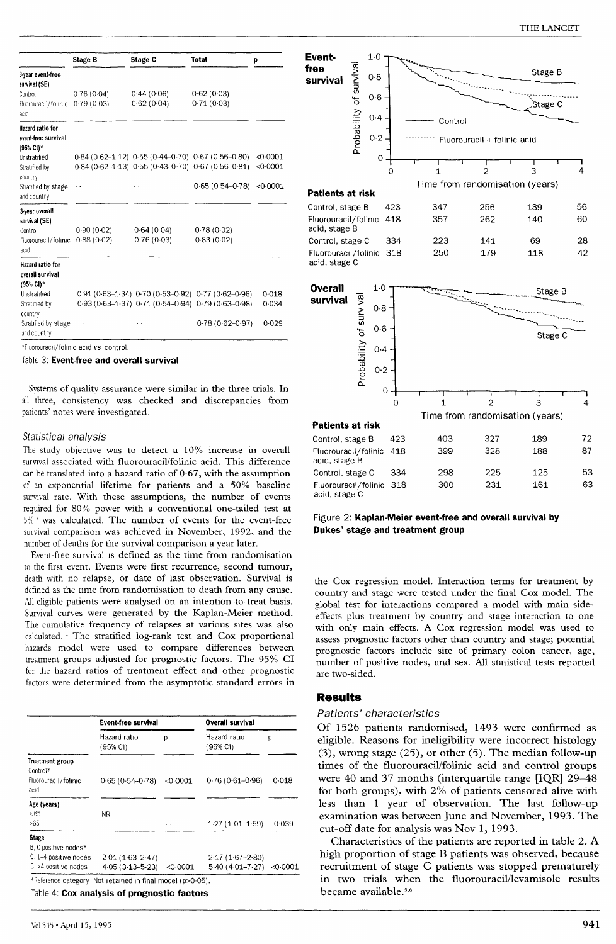|                                                      | <b>Stage B</b> | <b>Stage C</b> | Total                                                    | p        |
|------------------------------------------------------|----------------|----------------|----------------------------------------------------------|----------|
| 3-year event-free<br>survival (SE)                   |                |                |                                                          |          |
| Control                                              | 0.76(0.04)     | 0.44(0.06)     | 0.62(0.03)                                               |          |
| Fluorouracil/folinic<br>acıd                         | 0.79(0.03)     | 0.62(0.04)     | 0.71(0.03)                                               |          |
| lazard ratio for<br>event-free survival<br>(95% CI)* |                |                |                                                          |          |
| Unstratified                                         |                |                | $0.84$ (0.62-1.12) $0.55$ (0.44-0.70) $0.67$ (0.56-0.80) | <0.0001  |
| Stratified by<br>country                             |                |                | 0.84 (0.62-1.13) 0.55 (0.43-0.70) 0.67 (0.56-0.81)       | < 0.0001 |
| Stratified by stage<br>and country                   |                |                | $0.65(0.54 - 0.78)$                                      | <0.0001  |
| 3-year overall<br>survival (SE)                      |                |                |                                                          |          |
| Control                                              | 0.90(0.02)     | 0.64(0.04)     | 0.78(0.02)                                               |          |
| Fluorouracil/folinic<br>acıd                         | 0.88(0.02)     | 0.76(0.03)     | 0.83(0.02)                                               |          |
| Hazard ratio for<br>overali survival<br>(95% CI)*    |                |                |                                                          |          |
| Unstratified                                         |                |                | 0 91 (0 63 - 1 34) 0 70 (0 53 - 0 92) 0 77 (0 62 - 0 96) | 0.018    |
| Stratified by<br>country                             |                |                | 0.93 (0.63-1.37) 0.71 (0.54-0.94) 0.79 (0.63-0.98)       | 0.034    |
| Stratified by stage<br>and country                   |                |                | $0.78(0.62 - 0.97)$                                      | 0.029    |

\*Fluorouracil/ folinic acid vs control.

Table 3: Event-free and overall survival

Systems of quality assurance were similar in the three trials. In all three, consistency was checked and discrepancies from patients' notes were investigated.

## Statistical analysis

The study objective was to detect a 10% increase in overall survival associated with fluorouracil/folinic acid. This difference can be translated into a hazard ratio of 0-67, with the assumption of an exponential lifetime for patients and a 50% baseline survival rate. With these assumptions, the number of events required for 80% power with a conventional one-tailed test at  $5\%$ <sup>13</sup> was calculated. The number of events for the event-free survival comparison was achieved in November, 1992, and the number of deaths for the survival comparison a year later.

Event-free survival is defined as the time from randomisation to the first event. Events were first recurrence, second tumour, death with no relapse, or date of last observation. Survival is defined as the time from randomisation to death from any cause. All eligible patients were analysed on an intention-to-treat basis. Survival curves were generated by the Kaplan-Meier method. The cumulative frequency of relapses at various sites was also calculated." The stratified log-rank test and Cox proportional hazards model were used to compare differences between treatment groups adjusted for prognostic factors. The 95% CI for the hazard ratios of treatment effect and other prognostic factors were determined from the asymptotic standard errors in

|                                      | <b>Event-free survival</b> |          | Overall survival             |       |
|--------------------------------------|----------------------------|----------|------------------------------|-------|
|                                      | Hazard ratio<br>(95% CI)   | p        | Hazard ratio<br>(95% CI)     | р     |
| Treatment group<br>Control*          |                            |          |                              |       |
| Fluorouracil/folinic<br>acıd         | $0.65(0.54 - 0.78)$        | <0.0001  | $0.76(0.61 - 0.96)$          | 0.018 |
| Age (years)                          |                            |          |                              |       |
| < 65                                 | NR.                        |          |                              |       |
| >65                                  |                            | $\cdots$ | $1.27(101-1.59)$             | 0.039 |
| <b>Stage</b><br>B, 0 positive nodes* |                            |          |                              |       |
| C, 1-4 positive nodes                | 2 01 (1 63 - 2 47)         |          | $2.17(1.67 - 2.80)$          |       |
| C, >4 positive nodes                 | $4.05(3.13 - 5.23)$        | < 0.0001 | $5.40(4.01 - 7.27) < 0.0001$ |       |

Table 4: Cox analysis of prognostic factors



Figure 2: Kaplan-Meier event-free and overall survival by Dukes' stage and treatment group

the Cox regression model. Interaction terms for treatment by country and stage were tested under the final Cox model. The global test for interactions compared a model with main sideeffects plus treatment by country and stage interaction to one with only main effects. A Cox regression model was used to assess prognostic factors other than country and stage; potential prognostic factors include site of primary colon cancer, age, number of positive nodes, and sex. All statistical tests reported are two-sided.

## Results

acid. stage C

#### Patients' characteristics

Of 1526 patients randomised, 1493 were confirmed as eligible. Reasons for ineligibility were incorrect histology (3), wrong stage (25), or other (5). The median follow-up times of the fluorouracil/folinic acid and control groups were 40 and 37 months (interquartile range [IQR] 29-48 for both groups), with 2% of patients censored alive with less than 1 year of observation. The last follow-up examination was between June and November, 1993. The cut-off date for analysis was Nov 1, 1993.

Characteristics of the patients are reported in table 2. A high proportion of stage B patients was observed, because recruitment of stage C patients was stopped prematurely in two trials when the fluorouracil/levamisole results became available.<sup>5,6</sup>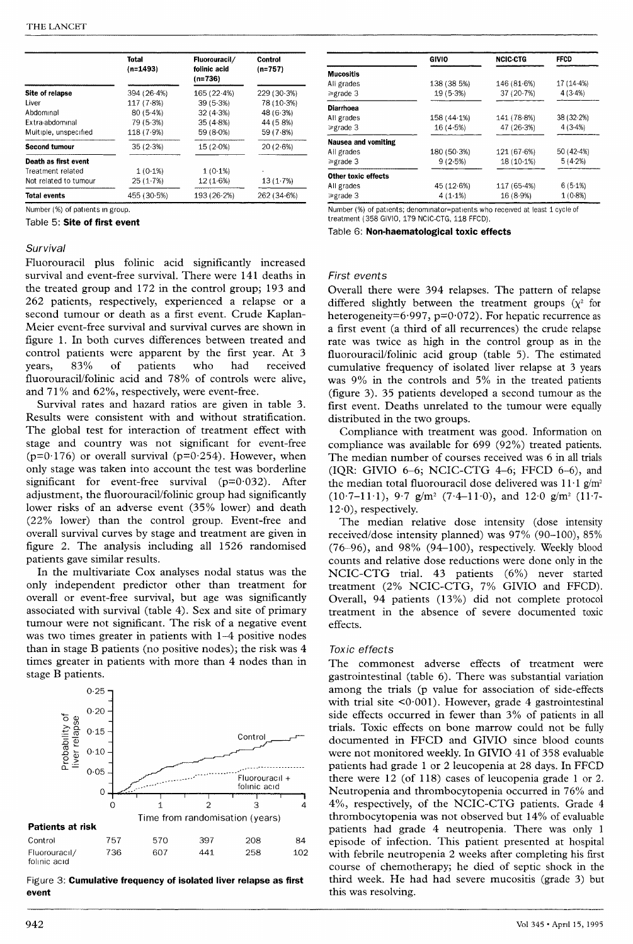|                       | <b>Total</b><br>$(n=1493)$ | Fluorouracil/<br>folinic acid<br>$(n=736)$ | <b>Control</b><br>$(n=757)$ |
|-----------------------|----------------------------|--------------------------------------------|-----------------------------|
| Site of relapse       | 394 (26-4%)                | 165 (22.4%)                                | 229 (30.3%)                 |
| Liver                 | 117(7.8%)                  | 39(5.3%)                                   | 78(10.3%)                   |
| Abdominal             | 80(5.4%)                   | 32(4.3%)                                   | 48(6.3%)                    |
| Extra-abdominal       | 79 (5.3%)                  | 35(4.8%)                                   | 44 (58%)                    |
| Multiple, unspecified | 118(7.9%)                  | $59(8.0\%)$                                | 59 (7.8%)                   |
| <b>Second tumour</b>  | 35(2.3%)                   | $15(2.0\%)$                                | 20(2.6%)                    |
| Death as first event  |                            |                                            |                             |
| Treatment related     | 1(0.1%)                    | $1(0.1\%)$                                 |                             |
| Not related to tumour | 25 (1.7%)                  | 12(1.6%)                                   | 13(1.7%)                    |
| <b>Total events</b>   | 455 (30.5%)                | 193(26.2%)                                 | 262 (34.6%)                 |

Number (%) of patients In group.

Table 5: Site of first event

## **Survival**

Fluorouracil plus folinic acid significantly increased survival and event-free survival. There were 141 deaths in the treated group and 172 in the control group; 193 and 262 patients, respectively, experienced a relapse or a second tumour or death as a first event. Crude Kaplan-Meier event-free survival and survival curves are shown in figure 1. In both curves differences between treated and control patients were apparent by the first year. At 3 years, 83% of patients who had received fluorouracil/folinic acid and 78% of controls were alive, and 71% and 62%, respectively, were event-free.

Survival rates and hazard ratios are given in table 3. Results were consistent with and without stratification. The global test for interaction of treatment effect with stage and country was not significant for event-free ( $p=0.176$ ) or overall survival ( $p=0.254$ ). However, when only stage was taken into account the test was borderline significant for event-free survival  $(p=0.032)$ . After adjustment, the fluorouracil/folinic group had significantly lower risks of an adverse event (35% lower) and death (22% lower) than the control group. Event-free and overall survival curves by stage and treatment are given in figure 2. The analysis including all 1526 randomised patients gave similar results.

In the multivariate Cox analyses nodal status was the only independent predictor other than treatment for overall or event-free survival, but age was significantly associated with survival (table 4). Sex and site of primary tumour were not significant. The risk of a negative event was two times greater in patients with 1-4 positive nodes than in stage B patients (no positive nodes); the risk was 4 times greater in patients with more than 4 nodes than in stage B patients.



Figure 3: Cumulative frequency of isolated liver relapse as first event

|                     | <b>GIVIO</b> | <b>NCIC-CTG</b> | <b>FFCD</b> |
|---------------------|--------------|-----------------|-------------|
| Mucositis           |              |                 |             |
| All grades          | 138 (38 5%)  | 146 (81.6%)     | 17 (14.4%)  |
| ≥grade 3            | $19(5-3%)$   | 37(20.7%)       | 4(3.4%)     |
| Diarrhoea           |              |                 |             |
| All grades          | 158(44.1%)   | 141 (78.8%)     | 38(32.2%)   |
| ≽grade 3            | 16(4.5%)     | 47(26.3%)       | 4(3.4%)     |
| Nausea and vomiting |              |                 |             |
| All grades          | 180 (50 3%)  | 121 (67.6%)     | 50(42.4%)   |
| ≥grade 3            | 9(2.5%)      | $18(10.1\%)$    | 5(4.2%)     |
| Other toxic effects |              |                 |             |
| All grades          | 45 (12.6%)   | 117 (65.4%)     | 6(5.1%)     |
| ≥grade 3            | 4(1.1%)      | 16(8.9%)        | $1(0.8\%)$  |

Number (%) of patients; denominator=patients who received at least 1 cycle of treatment (358 GIVIO, 179 NCIC-CTG, 118 FFCD).

Table 6: Non-haematological toxic effects

## First events

Overall there were 394 relapses. The pattern of relapse differed slightly between the treatment groups  $(\chi^2)$  for heterogeneity= $6.997$ , p= $0.072$ ). For hepatic recurrence as a first event (a third of all recurrences) the crude relapse rate was twice as high in the control group as in the fluorouracil/folinic acid group (table 5). The estimated cumulative frequency of isolated liver relapse at 3 years was 9% in the controls and 5% in the treated patients (figure 3). 35 patients developed a second tumour as the first event. Deaths unrelated to the tumour were equally distributed in the two groups.

Compliance with treatment was good. Information on compliance was available for 699 (92%) treated patients. The median number of courses received was 6 in all trials (IQR: GIVIO 6-6; NCIC-CTG 4-6; FFCD 6-6), and the median total fluorouracil dose delivered was  $11·1$  g/m<sup>2</sup>  $(10.7-11.1)$ ,  $9.7 \text{ g/m}^2$   $(7.4-11.0)$ , and  $12.0 \text{ g/m}^2$   $(11.7-11.1)$  $12-0$ ), respectively.

The median relative dose intensity (dose intensity received/dose intensity planned) was 97% (90-100), 85%  $(76-96)$ , and  $98\%$   $(94-100)$ , respectively. Weekly blood counts and relative dose reductions were done only in the NCIC-CTG trial. 43 patients (6%) never started treatment (2% NCIC-CTG, 7% GIVIO and FFCD). Overall, 94 patients (13%) did not complete protocol treatment in the absence of severe documented toxic effects.

## Toxic effects

The commonest adverse effects of treatment were gastrointestinal (table 6). There was substantial variation among the trials (p value for association of side-effects with trial site  $0.001$ . However, grade 4 gastrointestinal side effects occurred in fewer than 3% of patients in all trials. Toxic effects on bone marrow could not be fully documented in FFCD and GIVIO since blood counts were not monitored weekly. In GIVIO 41 of 358 evaluable patients had grade 1 or 2 leucopenia at 28 days. In FFCD there were 12 (of 118) cases of leucopenia grade 1 or 2. Neutropenia and thrombocytopenia occurred in 76% and 4%, respectively, of the NCIC-CTG patients. Grade 4 thrombocytopenia was not observed but 14% of evaluable patients had grade 4 neutropenia. There was only 1 episode of infection. This patient presented at hospital with febrile neutropenia 2 weeks after completing his first course of chemotherapy; he died of septic shock in the third week. He had had severe mucositis (grade 3) but this was resolving.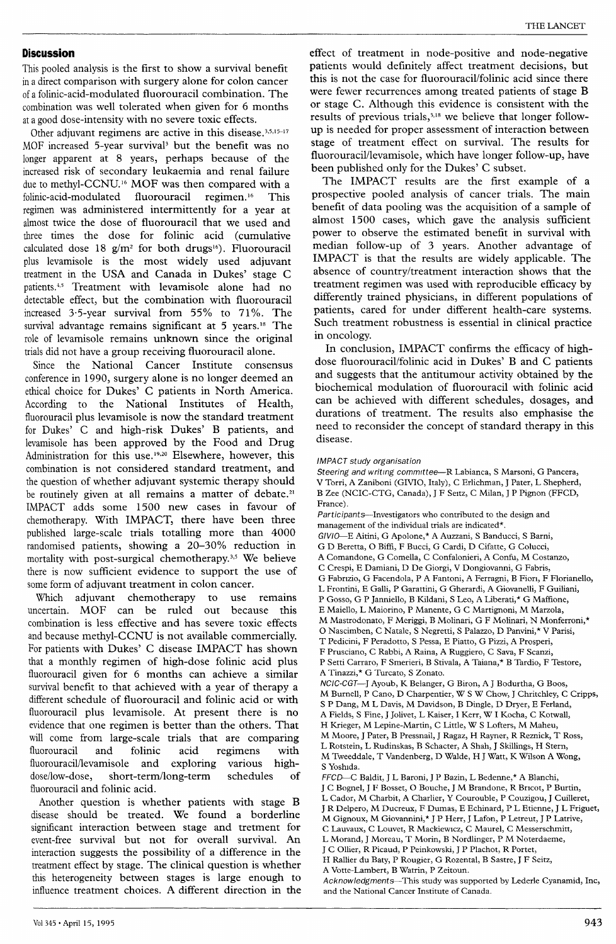## Discussion

This pooled analysis is the first to show a survival benefit in a direct comparison with surgery alone for colon cancer of a folinic-acid-modulated fluorouracil combination. The combination was well tolerated when given for 6 months at a good dose-intensity with no severe toxic effects.

Other adjuvant regimens are active in this disease.<sup>3,5,15-17</sup> MOF increased 5-year survival<sup>3</sup> but the benefit was no longer apparent at 8 years, perhaps because of the increased risk of secondary leukaemia and renal failure due to methyl-CCNU.<sup>16</sup> MOF was then compared with a folinic-acid-modulated fluorouracil regimen.<sup>16</sup> This folinic-acid-modulated fluorouracil regimen.<sup>16</sup> This regimen was administered intermittently for a year at almost twice the dose of fluorouracil that we used and three times the dose for folinic acid (cumulative calculated dose 18  $g/m^2$  for both drugs<sup>16</sup>). Fluorouracil plus levamisole is the most widely used adjuvant treatment in the USA and Canada in Dukes' stage C patients.<sup>4,5</sup> Treatment with levamisole alone had no detectable effect, but the combination with fluorouracil increased 3-5-year survival from 55% to 71%. The survival advantage remains significant at 5 years.<sup>18</sup> The role of levamisole remains unknown since the original trials did not have a group receiving fluorouracil alone.

Since the National Cancer Institute consensus conference in 1990, surgery alone is no longer deemed an ethical choice for Dukes' C patients in North America. According to the National Institutes of Health, fluorouracil plus levamisole is now the standard treatment for Dukes' C and high-risk Dukes' B patients, and levamisole has been approved by the Food and Drug Administration for this use.19,20 Elsewhere, however, this combination is not considered standard treatment, and the question of whether adjuvant systemic therapy should be routinely given at all remains a matter of debate.<sup>21</sup> IMPACT adds some 1500 new cases in favour of chemotherapy. With IMPACT, there have been three published large-scale trials totalling more than 4000 randomised patients, showing a 20-30% reduction in mortality with post-surgical chemotherapy.<sup>3,5</sup> We believe there is now sufficient evidence to support the use of some form of adjuvant treatment in colon cancer.

Which adjuvant chemotherapy to use remains uncertain. MOF can be ruled out because this combination is less effective and has severe toxic effects and because methyl-CCNU is not available commercially. For patients with Dukes' C disease IMPACT has shown that a monthly regimen of high-dose folinic acid plus fluorouracil given for 6 months can achieve a similar survival benefit to that achieved with a year of therapy a different schedule of fluorouracil and folinic acid or with fluorouracil plus levamisole. At present there is no evidence that one regimen is better than the others. That will come from large-scale trials that are comparing<br>fluorouracil and folinic acid regimens with acid regimens with<br>xploring various highfluorouracil/levamisole and exploring<br>dose/low-dose, short-term/long-term short-term/long-term schedules of fluorouracil and folinic acid.

Another question is whether patients with stage B disease should be treated. We found a borderline significant interaction between stage and tretment for event-free survival but not for overall survival. An interaction suggests the possibility of a difference in the treatment effect by stage. The clinical question is whether this heterogeneity between stages is large enough to influence treatment choices. A different direction in the

effect of treatment in node-positive and node-negative patients would definitely affect treatment decisions, but this is not the case for fluorouracil/folinic acid since there were fewer recurrences among treated patients of stage B or stage C. Although this evidence is consistent with the results of previous trials, $3,18$  we believe that longer followup is needed for proper assessment of interaction between stage of treatment effect on survival. The results for fluorouracil/levamisole, which have longer follow-up, have been published only for the Dukes' C subset.

The IMPACT results are the first example of a prospective pooled analysis of cancer trials. The main benefit of data pooling was the acquisition of a sample of almost 1500 cases, which gave the analysis sufficient power to observe the estimated benefit in survival with median follow-up of 3 years. Another advantage of IMPACT is that the results are widely applicable. The absence of country/treatment interaction shows that the treatment regimen was used with reproducible efficacy by differently trained physicians, in different populations of patients, cared for under different health-care systems. Such treatment robustness is essential in clinical practice in oncology.

In conclusion, IMPACT confirms the efficacy of highdose fluorouracil/folinic acid in Dukes' B and C patients and suggests that the antitumour activity obtained by the biochemical modulation of fluorouracil with folinic acid can be achieved with different schedules, dosages, and durations of treatment. The results also emphasise the need to reconsider the concept of standard therapy in this disease.

## IMPACT study organisation

Steering and writing committee--R Labianca, S Marsoni, G Pancera, V Torri, A Zaniboni (GIVIO, Italy), C Erlichman, J Pater, L Shepherd, B Zee (NCIC-CTG, Canada), J F Seitz, C Milan, J P Pignon (FFCD, France).

Participants-Investigators who contributed to the design and management of the individual trials are indicated\*.

- GIVIO-E Aitini, G Apolone,\* A Auzzani, S Banducci, S Barni,
- G D Beretta, 0 Biffi, F Bucci, G Cardi, D Cifatte, G Colucci,
- A Comandone, G Comella, C Confalonieri, A Confu, M Costanzo,
- 
- C Crespi, E Damiani, D De Giorgi, V Dongiovanni, G Fabris,
- L Frontini, E Galli, P Garattini, G Gherardi, A Giovanelli, F Guiliani,
- P Gosso, G P Janniello, B Kildani, S Leo, A Liberati,\* G Maffione,
- E Maiello, L Maiorino, P Manente, G C Martignoni, M Marzola, M Mastrodonato, F Meriggi, B Molinari, G F Molinari, N Monferroni,\* \*
- 
- 0 Nascimben, C Natale, S Negretti, S Palazzo, D Panvini,\* V Parisi, T Pedicini, F Peradotto, S Pessa, E Piatto, G Pizzi, A Prosperi, F Prusciano, C Rabbi, A Raina, A Ruggiero, C Sava, F Scanzi,
- 
- P Setti Carraro, F Smerieri, B Stivala, A Taiana,\* B Tardio, F Testore, A Tinazzi,\* G Turcato, S Zonato.
- NCIC-CGT-J Ayoub, K Belanger, G Biron, A J Bodurtha, G Boos, M Burnell, P Cano, D Charpentier, W S W Chow, J Chritchley, C Cripps, S P Dang, M L Davis, M Davidson, B Dingle, D Dryer, E Ferland, A Fields, S Fine, J Jolivet, L Kaiser, I Kerr, W I Kocha, C Kotwall, H Krieger, M Lepine-Martin, C Little, W S Lofters, M Maheu,<br>M Moore, J Pater, B Pressnail, J Ragaz, H Rayner, R Reznick, T Ross, L Rotstein, L Rudinskas, B Schacter, A Shah, J Skillings, H Stern, M Tweeddale, T Vandenberg, D Walde, H J Watt, K Wilson A Wong, S Yoshida.
- FFCD-C Baldit, J L Baroni, J P Bazin, L Bedenne,\* A Blanchi, J C Bognel, J F Bosset, O Bouche, J M Brandone, R Bricot, P Burtin, L Cador, M Charbit, A Charlier, Y Courouble, P Couzigou, J Cuilleret, J R Delpero, M Ducreux, F Dumas, E Echinard, P L Etienne, J L Friguet, M Gignoux, M Giovannini,\* J P Herr, J Lafon, P Letreut, J P Latrive, C Lauvaux, C Louvet, R Mackiewicz, C Maurel, C Messerschmitt, L Morand, J Moreau, T Morin, B Nordlinger, P M Noterdaeme,
- J C Ollier, R Picaud, P Peinkowski, J P Plachot, R Portet,

Acknowledgments-This study was supported by Lederle Cyanamid, Inc, and the National Cancer Institute of Canada.

H Rallier du Baty, P Rougier, G Rozental, B Sastre, J F Seitz, A Votte-Lambert, B Watrin, P Zeitoun.